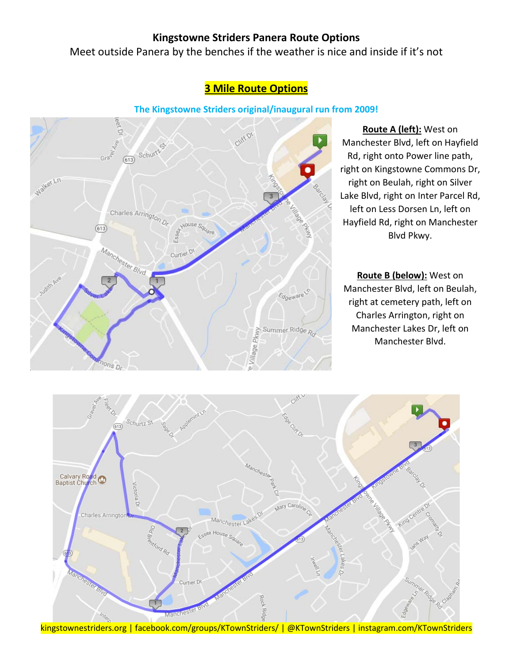#### Meet outside Panera by the benches if the weather is nice and inside if it's not

# leet Di Cliff or 613 Schurtz  $Gra^2$ Walker Ln Charles Arrington Dr.  $(613)$ Manchester Blvd Curtier<sup>Dt</sup> Edgeware lage Pkwy Summer Ridge p nons Di

## **3 Mile Route Options**

**The Kingstowne Striders original/inaugural run from 2009!**

**Route A (left):** West on Manchester Blvd, left on Hayfield Rd, right onto Power line path, right on Kingstowne Commons Dr, right on Beulah, right on Silver Lake Blvd, right on Inter Parcel Rd, left on Less Dorsen Ln, left on Hayfield Rd, right on Manchester Blvd Pkwy.

**Route B (below):** West on Manchester Blvd, left on Beulah, right at cemetery path, left on Charles Arrington, right on Manchester Lakes Dr, left on Manchester Blvd.



kingstownestriders.org | facebook.com/groups/KTownStriders/ | @KTownStriders | instagram.com/KTownStriders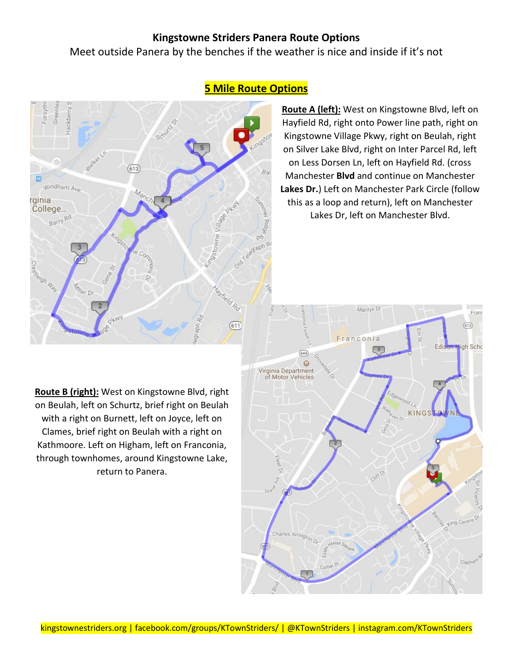Meet outside Panera by the benches if the weather is nice and inside if it's not



## **5 Mile Route Options**

**Route A (left):** West on Kingstowne Blvd, left on Hayfield Rd, right onto Power line path, right on Kingstowne Village Pkwy, right on Beulah, right on Silver Lake Blvd, right on Inter Parcel Rd, left on Less Dorsen Ln, left on Hayfield Rd. (cross Manchester **Blvd** and continue on Manchester **Lakes Dr.**) Left on Manchester Park Circle (follow this as a loop and return), left on Manchester Lakes Dr, left on Manchester Blvd.

**Route B (right):** West on Kingstowne Blvd, right on Beulah, left on Schurtz, brief right on Beulah with a right on Burnett, left on Joyce, left on Clames, brief right on Beulah with a right on Kathmoore. Left on Higham, left on Franconia, through townhomes, around Kingstowne Lake, return to Panera.

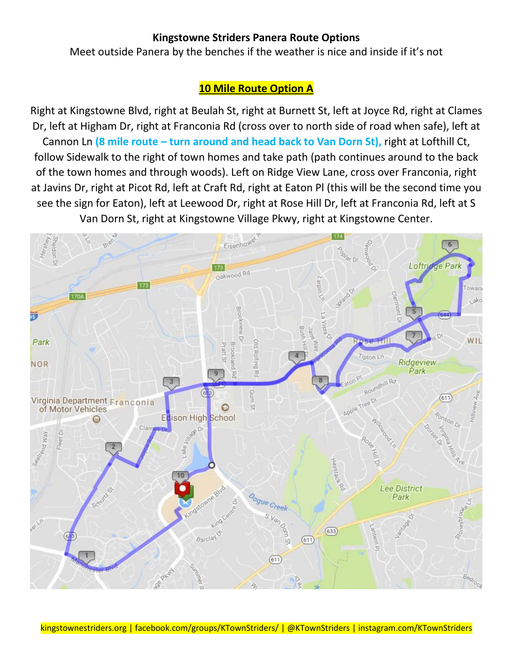Meet outside Panera by the benches if the weather is nice and inside if it's not

## **10 Mile Route Option A**

Right at Kingstowne Blvd, right at Beulah St, right at Burnett St, left at Joyce Rd, right at Clames Dr, left at Higham Dr, right at Franconia Rd (cross over to north side of road when safe), left at Cannon Ln **(8 mile route – turn around and head back to Van Dorn St),** right at Lofthill Ct, follow Sidewalk to the right of town homes and take path (path continues around to the back of the town homes and through woods). Left on Ridge View Lane, cross over Franconia, right at Javins Dr, right at Picot Rd, left at Craft Rd, right at Eaton Pl (this will be the second time you see the sign for Eaton), left at Leewood Dr, right at Rose Hill Dr, left at Franconia Rd, left at S Van Dorn St, right at Kingstowne Village Pkwy, right at Kingstowne Center.